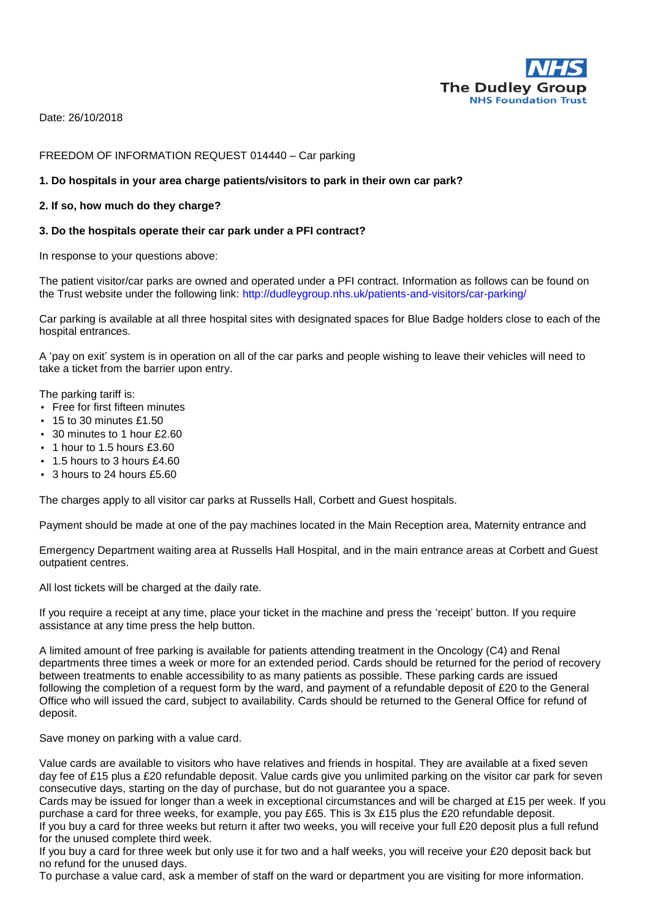

Date: 26/10/2018

### FREEDOM OF INFORMATION REQUEST 014440 – Car parking

# **1. Do hospitals in your area charge patients/visitors to park in their own car park?**

### **2. If so, how much do they charge?**

#### **3. Do the hospitals operate their car park under a PFI contract?**

In response to your questions above:

The patient visitor/car parks are owned and operated under a PFI contract. Information as follows can be found on the Trust website under the following link: http://dudleygroup.nhs.uk/patients-and-visitors/car-parking/

Car parking is available at all three hospital sites with designated spaces for Blue Badge holders close to each of the hospital entrances.

A 'pay on exit' system is in operation on all of the car parks and people wishing to leave their vehicles will need to take a ticket from the barrier upon entry.

The parking tariff is:

- Free for first fifteen minutes
- $\cdot$  15 to 30 minutes £1.50
- 30 minutes to 1 hour £2.60
- 1 hour to 1.5 hours £3.60
- 1.5 hours to 3 hours £4.60
- $\cdot$  3 hours to 24 hours £5.60

The charges apply to all visitor car parks at Russells Hall, Corbett and Guest hospitals.

Payment should be made at one of the pay machines located in the Main Reception area, Maternity entrance and

Emergency Department waiting area at Russells Hall Hospital, and in the main entrance areas at Corbett and Guest outpatient centres.

All lost tickets will be charged at the daily rate.

If you require a receipt at any time, place your ticket in the machine and press the 'receipt' button. If you require assistance at any time press the help button.

A limited amount of free parking is available for patients attending treatment in the Oncology (C4) and Renal departments three times a week or more for an extended period. Cards should be returned for the period of recovery between treatments to enable accessibility to as many patients as possible. These parking cards are issued following the completion of a request form by the ward, and payment of a refundable deposit of £20 to the General Office who will issued the card, subject to availability. Cards should be returned to the General Office for refund of deposit.

Save money on parking with a value card.

Value cards are available to visitors who have relatives and friends in hospital. They are available at a fixed seven day fee of £15 plus a £20 refundable deposit. Value cards give you unlimited parking on the visitor car park for seven consecutive days, starting on the day of purchase, but do not guarantee you a space.

Cards may be issued for longer than a week in exceptional circumstances and will be charged at £15 per week. If you purchase a card for three weeks, for example, you pay £65. This is 3x £15 plus the £20 refundable deposit. If you buy a card for three weeks but return it after two weeks, you will receive your full £20 deposit plus a full refund

for the unused complete third week.

If you buy a card for three week but only use it for two and a half weeks, you will receive your £20 deposit back but no refund for the unused days.

To purchase a value card, ask a member of staff on the ward or department you are visiting for more information.